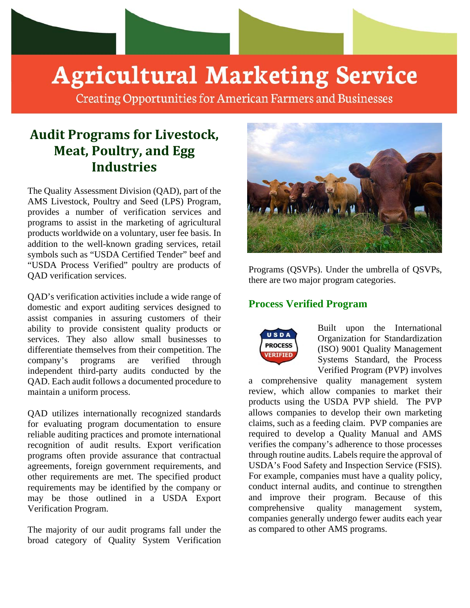

# **Agricultural Marketing Service**

**Creating Opportunities for American Farmers and Businesses** 

## **Audit Programs for Livestock, Meat, Poultry, and Egg Industries**

The Quality Assessment Division (QAD), part of the AMS Livestock, Poultry and Seed (LPS) Program, provides a number of verification services and programs to assist in the marketing of agricultural products worldwide on a voluntary, user fee basis. In addition to the well-known grading services, retail symbols such as "USDA Certified Tender" beef and "USDA Process Verified" poultry are products of QAD verification services.

QAD's verification activities include a wide range of domestic and export auditing services designed to assist companies in assuring customers of their ability to provide consistent quality products or services. They also allow small businesses to differentiate themselves from their competition. The company's programs are verified through independent third-party audits conducted by the QAD. Each audit follows a documented procedure to maintain a uniform process.

QAD utilizes internationally recognized standards for evaluating program documentation to ensure reliable auditing practices and promote international recognition of audit results. Export verification programs often provide assurance that contractual agreements, foreign government requirements, and other requirements are met. The specified product requirements may be identified by the company or may be those outlined in a USDA Export Verification Program.

The majority of our audit programs fall under the broad category of Quality System Verification



Programs (QSVPs). Under the umbrella of QSVPs, there are two major program categories.

#### **Process Verified Program**



Built upon the International Organization for Standardization (ISO) 9001 Quality Management Systems Standard, the Process Verified Program (PVP) involves

a comprehensive quality management system review, which allow companies to market their products using the USDA PVP shield. The PVP allows companies to develop their own marketing claims, such as a feeding claim. PVP companies are required to develop a Quality Manual and AMS verifies the company's adherence to those processes through routine audits. Labels require the approval of USDA's Food Safety and Inspection Service (FSIS). For example, companies must have a quality policy, conduct internal audits, and continue to strengthen and improve their program. Because of this comprehensive quality management system, companies generally undergo fewer audits each year as compared to other AMS programs.